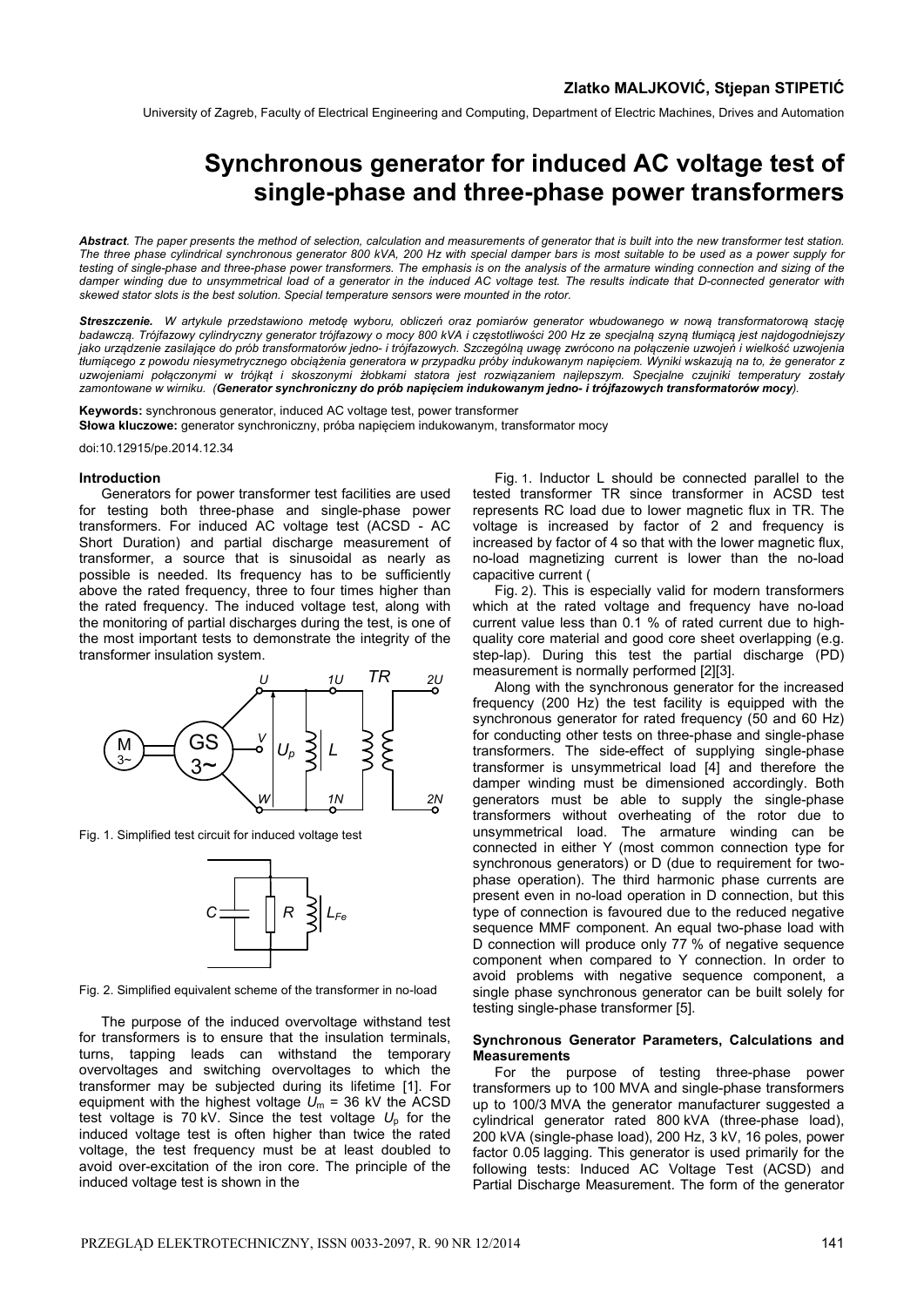University of Zagreb, Faculty of Electrical Engineering and Computing, Department of Electric Machines, Drives and Automation

# **Synchronous generator for induced AC voltage test of single-phase and three-phase power transformers**

*Abstract. The paper presents the method of selection, calculation and measurements of generator that is built into the new transformer test station. The three phase cylindrical synchronous generator 800 kVA, 200 Hz with special damper bars is most suitable to be used as a power supply for*  testing of single-phase and three-phase power transformers. The emphasis is on the analysis of the armature winding connection and sizing of the damper winding due to unsymmetrical load of a generator in the induced AC voltage test. The results indicate that D-connected generator with *skewed stator slots is the best solution. Special temperature sensors were mounted in the rotor.* 

*Streszczenie. W artykule przedstawiono metodę wyboru, obliczeń oraz pomiarów generator wbudowanego w nową transformatorową stację* badawczą. Trójfazowy cylindryczny generator trójfazowy o mocy 800 kVA i częstotliwości 200 Hz ze specjalną szyną tłumiącą jest najdogodniejszy jako urządzenie zasilające do prób transformatorów jedno- i trójfazowych. Szczególną uwagę zwrócono na połączenie uzwojeń i wielkość uzwojenia tłumiącego z powodu niesymetrycznego obciążenia generatora w przypadku próby indukowanym napięciem. Wyniki wskazują na to, że generator z *uzwojeniami połączonymi w trójkąt i skoszonymi żłobkami statora jest rozwiązaniem najlepszym. Specjalne czujniki temperatury zostały zamontowane w wirniku. (Generator synchroniczny do prób napięciem indukowanym jedno- i trójfazowych transformatorów mocy).* 

**Keywords:** synchronous generator, induced AC voltage test, power transformer **Słowa kluczowe:** generator synchroniczny, próba napięciem indukowanym, transformator mocy

doi:10.12915/pe.2014.12.34

#### **Introduction**

Generators for power transformer test facilities are used for testing both three-phase and single-phase power transformers. For induced AC voltage test (ACSD - AC Short Duration) and partial discharge measurement of transformer, a source that is sinusoidal as nearly as possible is needed. Its frequency has to be sufficiently above the rated frequency, three to four times higher than the rated frequency. The induced voltage test, along with the monitoring of partial discharges during the test, is one of the most important tests to demonstrate the integrity of the transformer insulation system.



Fig. 1. Simplified test circuit for induced voltage test



Fig. 2. Simplified equivalent scheme of the transformer in no-load

The purpose of the induced overvoltage withstand test for transformers is to ensure that the insulation terminals, turns, tapping leads can withstand the temporary overvoltages and switching overvoltages to which the transformer may be subjected during its lifetime [1]. For equipment with the highest voltage  $\tilde{U_m}$  = 36 kV the ACSD test voltage is 70 kV. Since the test voltage  $U_p$  for the induced voltage test is often higher than twice the rated voltage, the test frequency must be at least doubled to avoid over-excitation of the iron core. The principle of the induced voltage test is shown in the

Fig. 1. Inductor L should be connected parallel to the tested transformer TR since transformer in ACSD test represents RC load due to lower magnetic flux in TR. The voltage is increased by factor of 2 and frequency is increased by factor of 4 so that with the lower magnetic flux, no-load magnetizing current is lower than the no-load capacitive current (

Fig. 2). This is especially valid for modern transformers which at the rated voltage and frequency have no-load current value less than 0.1 % of rated current due to highquality core material and good core sheet overlapping (e.g. step-lap). During this test the partial discharge (PD) measurement is normally performed [2][3].

Along with the synchronous generator for the increased frequency (200 Hz) the test facility is equipped with the synchronous generator for rated frequency (50 and 60 Hz) for conducting other tests on three-phase and single-phase transformers. The side-effect of supplying single-phase transformer is unsymmetrical load [4] and therefore the damper winding must be dimensioned accordingly. Both generators must be able to supply the single-phase transformers without overheating of the rotor due to unsymmetrical load. The armature winding can be connected in either Y (most common connection type for synchronous generators) or D (due to requirement for twophase operation). The third harmonic phase currents are present even in no-load operation in D connection, but this type of connection is favoured due to the reduced negative sequence MMF component. An equal two-phase load with D connection will produce only 77 % of negative sequence component when compared to Y connection. In order to avoid problems with negative sequence component, a single phase synchronous generator can be built solely for testing single-phase transformer [5].

### **Synchronous Generator Parameters, Calculations and Measurements**

For the purpose of testing three-phase power transformers up to 100 MVA and single-phase transformers up to 100/3 MVA the generator manufacturer suggested a cylindrical generator rated 800 kVA (three-phase load), 200 kVA (single-phase load), 200 Hz, 3 kV, 16 poles, power factor 0.05 lagging. This generator is used primarily for the following tests: Induced AC Voltage Test (ACSD) and Partial Discharge Measurement. The form of the generator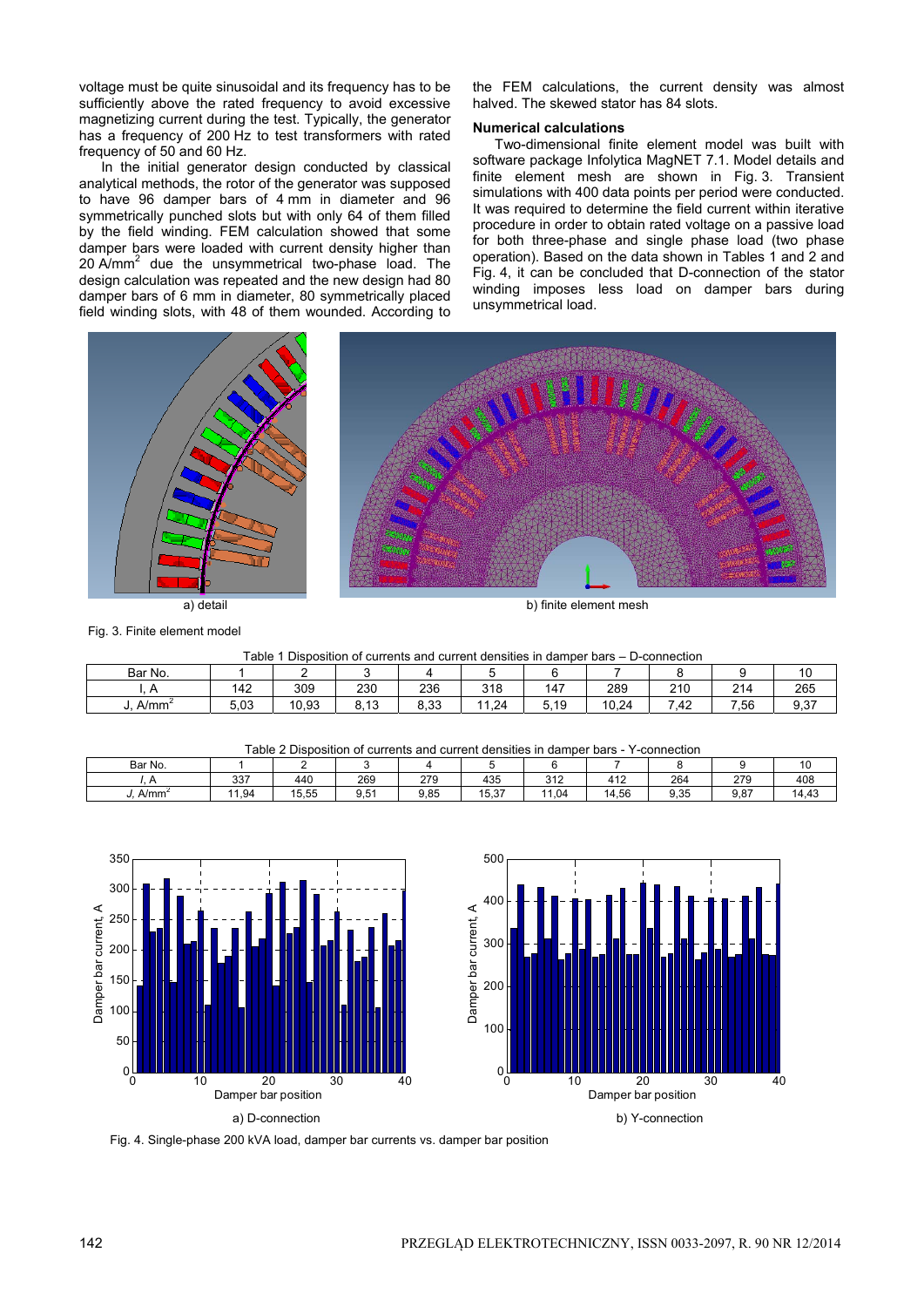voltage must be quite sinusoidal and its frequency has to be sufficiently above the rated frequency to avoid excessive magnetizing current during the test. Typically, the generator has a frequency of 200 Hz to test transformers with rated frequency of 50 and 60 Hz.

In the initial generator design conducted by classical analytical methods, the rotor of the generator was supposed to have 96 damper bars of 4 mm in diameter and 96 symmetrically punched slots but with only 64 of them filled by the field winding. FEM calculation showed that some damper bars were loaded with current density higher than 20 A/mm<sup>2</sup> due the unsymmetrical two-phase load. The design calculation was repeated and the new design had 80 damper bars of 6 mm in diameter, 80 symmetrically placed field winding slots, with 48 of them wounded. According to

the FEM calculations, the current density was almost halved. The skewed stator has 84 slots.

# **Numerical calculations**

Two-dimensional finite element model was built with software package Infolytica MagNET 7.1. Model details and finite element mesh are shown in Fig. 3. Transient simulations with 400 data points per period were conducted. It was required to determine the field current within iterative procedure in order to obtain rated voltage on a passive load for both three-phase and single phase load (two phase operation). Based on the data shown in Tables 1 and 2 and Fig. 4, it can be concluded that D-connection of the stator winding imposes less load on damper bars during unsymmetrical load.



Fig. 3. Finite element model

|  |  | Table 1 Disposition of currents and current densities in damper bars – D-connection |
|--|--|-------------------------------------------------------------------------------------|
|  |  |                                                                                     |

| Bar No.  |              |             |                |      |                        |                                |       |          |                      | 10           |
|----------|--------------|-------------|----------------|------|------------------------|--------------------------------|-------|----------|----------------------|--------------|
|          | 142          | 309         | 230            | 236  | 240<br>ه ۱ د           | $\overline{\phantom{a}}$<br>14 | 289   | 210      | 214<br>_             | 265          |
| $A/mm^2$ | r oo<br>5.U3 | 10,93<br>10 | ດ 4 ຕ<br>ט, וט | 8,33 | . 24<br>$\overline{A}$ | 5.10<br>. ט<br>J.              | 10.24 | -<br>.42 | -<br>$^{\prime}$ .56 | ດ ລອ<br>ອ.ວ≀ |

Table 2 Disposition of currents and current densities in damper bars - Y-connection

| Table 2 Disposition of carrents and carrent achieves in damper parts<br><b>UUITIUUUI</b> |     |       |      |      |       |              |       |      |      |       |
|------------------------------------------------------------------------------------------|-----|-------|------|------|-------|--------------|-------|------|------|-------|
| Bar No.                                                                                  |     |       |      |      |       |              |       |      |      |       |
|                                                                                          | 337 | 440   | 269  | 279  | 435   | 240<br>ے ا ت | 412   | 264  | 279  | 408   |
| A/mm <sup>2</sup>                                                                        | .94 | 15.55 | 9.51 | 9.85 | 15.37 | 1.04         | 14.56 | 9.35 | 9.87 | 14,43 |





Fig. 4. Single-phase 200 kVA load, damper bar currents vs. damper bar position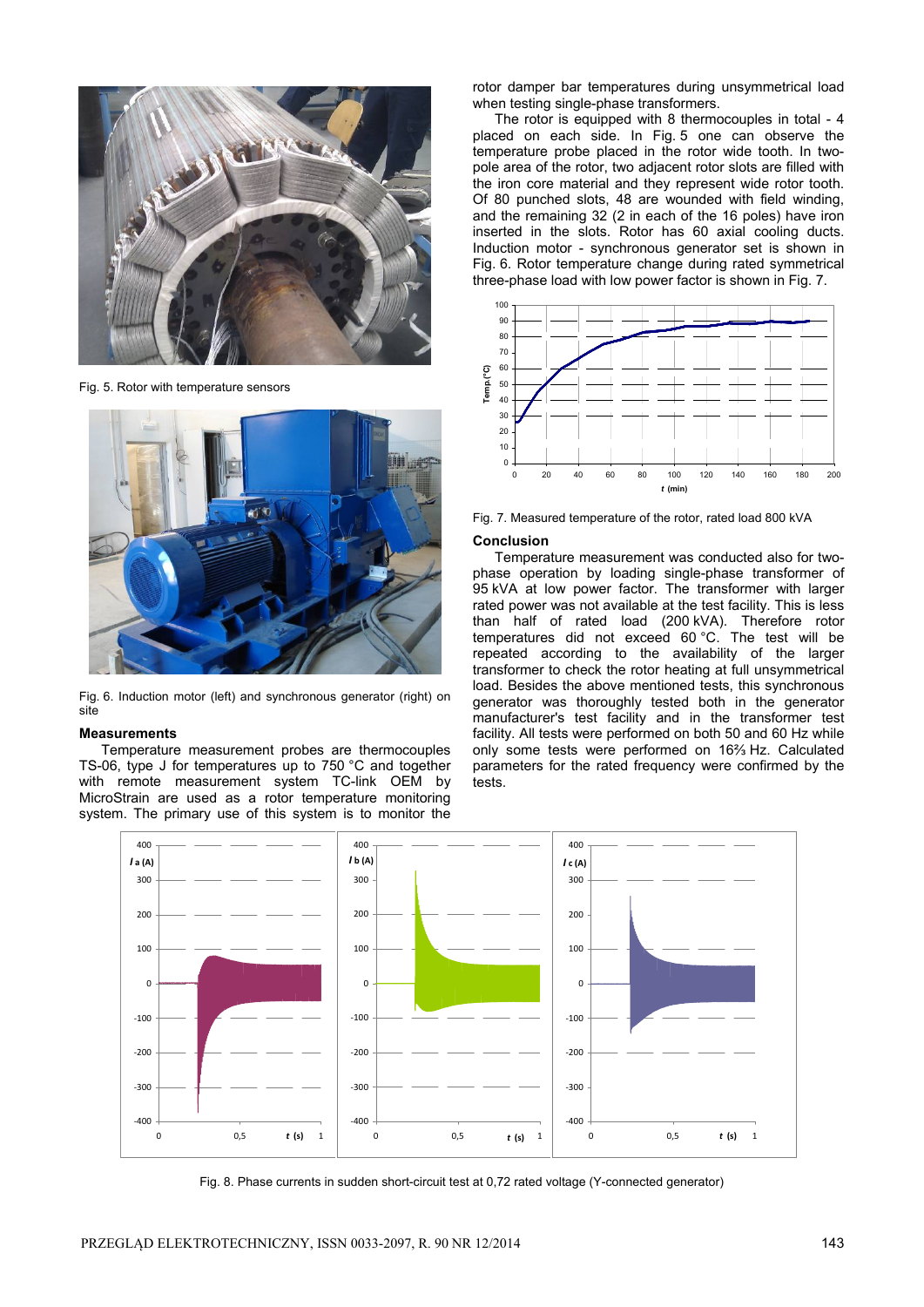

Fig. 5. Rotor with temperature sensors



Fig. 6. Induction motor (left) and synchronous generator (right) on site

### **Measurements**

Temperature measurement probes are thermocouples TS-06, type J for temperatures up to 750 °C and together with remote measurement system TC-link OEM by MicroStrain are used as a rotor temperature monitoring system. The primary use of this system is to monitor the

rotor damper bar temperatures during unsymmetrical load when testing single-phase transformers.

The rotor is equipped with 8 thermocouples in total - 4 placed on each side. In Fig. 5 one can observe the temperature probe placed in the rotor wide tooth. In twopole area of the rotor, two adjacent rotor slots are filled with the iron core material and they represent wide rotor tooth. Of 80 punched slots, 48 are wounded with field winding, and the remaining 32 (2 in each of the 16 poles) have iron inserted in the slots. Rotor has 60 axial cooling ducts. Induction motor - synchronous generator set is shown in Fig. 6. Rotor temperature change during rated symmetrical three-phase load with low power factor is shown in Fig. 7.



Fig. 7. Measured temperature of the rotor, rated load 800 kVA

## **Conclusion**

Temperature measurement was conducted also for twophase operation by loading single-phase transformer of 95 kVA at low power factor. The transformer with larger rated power was not available at the test facility. This is less than half of rated load (200 kVA). Therefore rotor temperatures did not exceed 60 °C. The test will be repeated according to the availability of the larger transformer to check the rotor heating at full unsymmetrical load. Besides the above mentioned tests, this synchronous generator was thoroughly tested both in the generator manufacturer's test facility and in the transformer test facility. All tests were performed on both 50 and 60 Hz while only some tests were performed on 16⅔ Hz. Calculated parameters for the rated frequency were confirmed by the tests.



Fig. 8. Phase currents in sudden short-circuit test at 0,72 rated voltage (Y-connected generator)